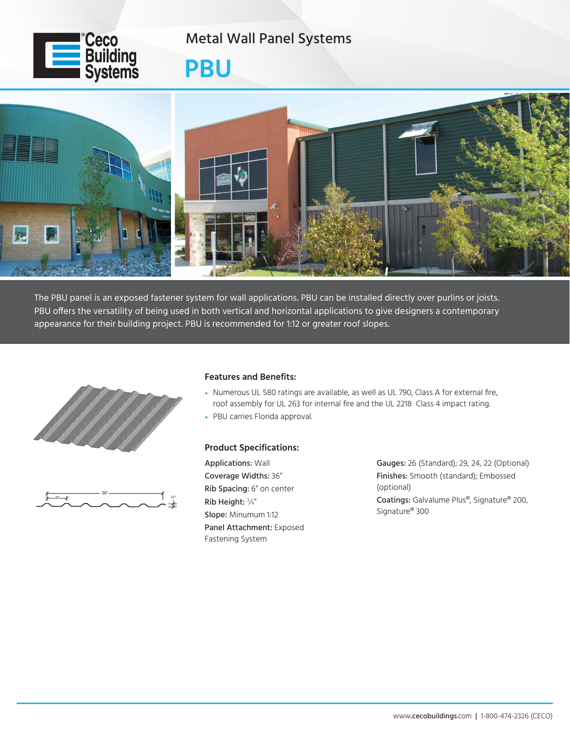

Metal Wall Panel Systems

## **PBU**



The PBU panel is an exposed fastener system for wall applications. PBU can be installed directly over purlins or joists. PBU offers the versatility of being used in both vertical and horizontal applications to give designers a contemporary appearance for their building project. PBU is recommended for 1:12 or greater roof slopes.





## **Features and Benefits:**

- Numerous UL 580 ratings are available, as well as UL 790, Class A for external fire, roof assembly for UL 263 for internal fire and the UL 2218 Class 4 impact rating.
- PBU carries Florida approval.

## **Product Specifications:**

Applications: Wall Coverage Widths: 36" Rib Spacing: 6" on center Rib Height: <sup>3</sup> ⁄4" Slope: Minumum 1:12 Panel Attachment: Exposed Fastening System

Gauges: 26 (Standard); 29, 24, 22 (Optional) Finishes: Smooth (standard); Embossed (optional) Coatings: Galvalume Plus®, Signature® 200, Signature® 300